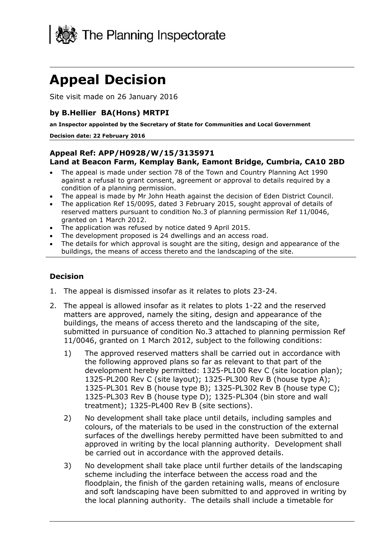

# **Appeal Decision**

Site visit made on 26 January 2016

## **by B.Hellier BA(Hons) MRTPI**

**an Inspector appointed by the Secretary of State for Communities and Local Government**

#### **Decision date: 22 February 2016**

#### **Appeal Ref: APP/H0928/W/15/3135971 Land at Beacon Farm, Kemplay Bank, Eamont Bridge, Cumbria, CA10 2BD**

- The appeal is made under section 78 of the Town and Country Planning Act 1990 against a refusal to grant consent, agreement or approval to details required by a condition of a planning permission.
- The appeal is made by Mr John Heath against the decision of Eden District Council.
- The application Ref 15/0095, dated 3 February 2015, sought approval of details of reserved matters pursuant to condition No.3 of planning permission Ref 11/0046, granted on 1 March 2012.
- The application was refused by notice dated 9 April 2015.
- The development proposed is 24 dwellings and an access road.
- The details for which approval is sought are the siting, design and appearance of the buildings, the means of access thereto and the landscaping of the site.

#### **Decision**

- 1. The appeal is dismissed insofar as it relates to plots 23-24.
- 2. The appeal is allowed insofar as it relates to plots 1-22 and the reserved matters are approved, namely the siting, design and appearance of the buildings, the means of access thereto and the landscaping of the site, submitted in pursuance of condition No.3 attached to planning permission Ref 11/0046, granted on 1 March 2012, subject to the following conditions:
	- 1) The approved reserved matters shall be carried out in accordance with the following approved plans so far as relevant to that part of the development hereby permitted: 1325-PL100 Rev C (site location plan); 1325-PL200 Rev C (site layout); 1325-PL300 Rev B (house type A); 1325-PL301 Rev B (house type B); 1325-PL302 Rev B (house type C); 1325-PL303 Rev B (house type D); 1325-PL304 (bin store and wall treatment); 1325-PL400 Rev B (site sections).
	- 2) No development shall take place until details, including samples and colours, of the materials to be used in the construction of the external surfaces of the dwellings hereby permitted have been submitted to and approved in writing by the local planning authority. Development shall be carried out in accordance with the approved details.
	- 3) No development shall take place until further details of the landscaping scheme including the interface between the access road and the floodplain, the finish of the garden retaining walls, means of enclosure and soft landscaping have been submitted to and approved in writing by the local planning authority. The details shall include a timetable for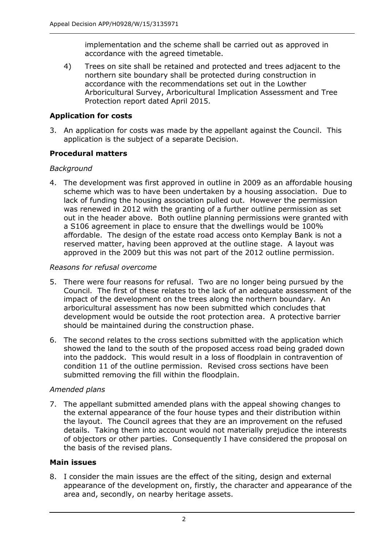implementation and the scheme shall be carried out as approved in accordance with the agreed timetable.

4) Trees on site shall be retained and protected and trees adjacent to the northern site boundary shall be protected during construction in accordance with the recommendations set out in the Lowther Arboricultural Survey, Arboricultural Implication Assessment and Tree Protection report dated April 2015.

# **Application for costs**

3. An application for costs was made by the appellant against the Council. This application is the subject of a separate Decision.

# **Procedural matters**

## *Background*

4. The development was first approved in outline in 2009 as an affordable housing scheme which was to have been undertaken by a housing association. Due to lack of funding the housing association pulled out. However the permission was renewed in 2012 with the granting of a further outline permission as set out in the header above. Both outline planning permissions were granted with a S106 agreement in place to ensure that the dwellings would be 100% affordable. The design of the estate road access onto Kemplay Bank is not a reserved matter, having been approved at the outline stage. A layout was approved in the 2009 but this was not part of the 2012 outline permission.

# *Reasons for refusal overcome*

- 5. There were four reasons for refusal. Two are no longer being pursued by the Council. The first of these relates to the lack of an adequate assessment of the impact of the development on the trees along the northern boundary. An arboricultural assessment has now been submitted which concludes that development would be outside the root protection area. A protective barrier should be maintained during the construction phase.
- 6. The second relates to the cross sections submitted with the application which showed the land to the south of the proposed access road being graded down into the paddock. This would result in a loss of floodplain in contravention of condition 11 of the outline permission. Revised cross sections have been submitted removing the fill within the floodplain.

# *Amended plans*

7. The appellant submitted amended plans with the appeal showing changes to the external appearance of the four house types and their distribution within the layout. The Council agrees that they are an improvement on the refused details. Taking them into account would not materially prejudice the interests of objectors or other parties. Consequently I have considered the proposal on the basis of the revised plans.

## **Main issues**

8. I consider the main issues are the effect of the siting, design and external appearance of the development on, firstly, the character and appearance of the area and, secondly, on nearby heritage assets.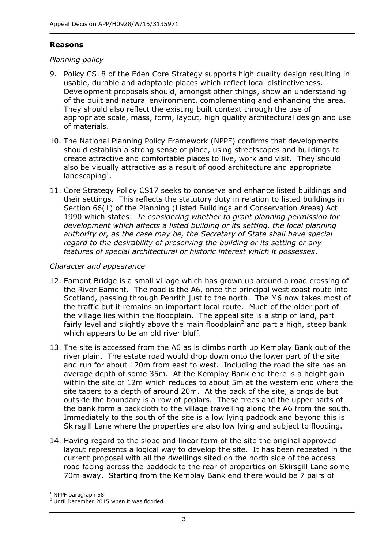## **Reasons**

## *Planning policy*

- 9. Policy CS18 of the Eden Core Strategy supports high quality design resulting in usable, durable and adaptable places which reflect local distinctiveness. Development proposals should, amongst other things, show an understanding of the built and natural environment, complementing and enhancing the area. They should also reflect the existing built context through the use of appropriate scale, mass, form, layout, high quality architectural design and use of materials.
- 10. The National Planning Policy Framework (NPPF) confirms that developments should establish a strong sense of place, using streetscapes and buildings to create attractive and comfortable places to live, work and visit. They should also be visually attractive as a result of good architecture and appropriate landscaping<sup>1</sup>.
- 11. Core Strategy Policy CS17 seeks to conserve and enhance listed buildings and their settings. This reflects the statutory duty in relation to listed buildings in Section 66(1) of the Planning (Listed Buildings and Conservation Areas) Act 1990 which states: *In considering whether to grant planning permission for development which affects a listed building or its setting, the local planning authority or, as the case may be, the Secretary of State shall have special regard to the desirability of preserving the building or its setting or any features of special architectural or historic interest which it possesses*.

#### *Character and appearance*

- 12. Eamont Bridge is a small village which has grown up around a road crossing of the River Eamont. The road is the A6, once the principal west coast route into Scotland, passing through Penrith just to the north. The M6 now takes most of the traffic but it remains an important local route. Much of the older part of the village lies within the floodplain. The appeal site is a strip of land, part fairly level and slightly above the main floodplain<sup>2</sup> and part a high, steep bank which appears to be an old river bluff.
- 13. The site is accessed from the A6 as is climbs north up Kemplay Bank out of the river plain. The estate road would drop down onto the lower part of the site and run for about 170m from east to west. Including the road the site has an average depth of some 35m. At the Kemplay Bank end there is a height gain within the site of 12m which reduces to about 5m at the western end where the site tapers to a depth of around 20m. At the back of the site, alongside but outside the boundary is a row of poplars. These trees and the upper parts of the bank form a backcloth to the village travelling along the A6 from the south. Immediately to the south of the site is a low lying paddock and beyond this is Skirsgill Lane where the properties are also low lying and subject to flooding.
- 14. Having regard to the slope and linear form of the site the original approved layout represents a logical way to develop the site. It has been repeated in the current proposal with all the dwellings sited on the north side of the access road facing across the paddock to the rear of properties on Skirsgill Lane some 70m away. Starting from the Kemplay Bank end there would be 7 pairs of

j <sup>1</sup> NPPF paragraph 58

<sup>&</sup>lt;sup>2</sup> Until December 2015 when it was flooded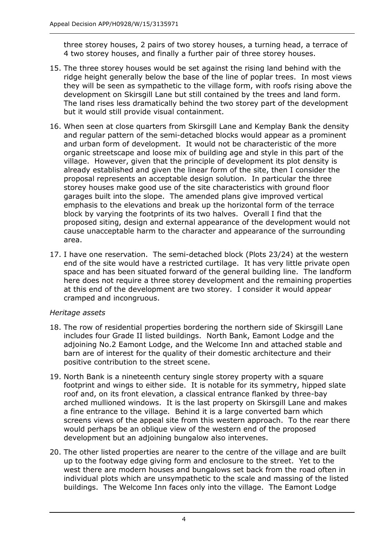three storey houses, 2 pairs of two storey houses, a turning head, a terrace of 4 two storey houses, and finally a further pair of three storey houses.

- 15. The three storey houses would be set against the rising land behind with the ridge height generally below the base of the line of poplar trees. In most views they will be seen as sympathetic to the village form, with roofs rising above the development on Skirsgill Lane but still contained by the trees and land form. The land rises less dramatically behind the two storey part of the development but it would still provide visual containment.
- 16. When seen at close quarters from Skirsgill Lane and Kemplay Bank the density and regular pattern of the semi-detached blocks would appear as a prominent and urban form of development. It would not be characteristic of the more organic streetscape and loose mix of building age and style in this part of the village. However, given that the principle of development its plot density is already established and given the linear form of the site, then I consider the proposal represents an acceptable design solution. In particular the three storey houses make good use of the site characteristics with ground floor garages built into the slope. The amended plans give improved vertical emphasis to the elevations and break up the horizontal form of the terrace block by varying the footprints of its two halves. Overall I find that the proposed siting, design and external appearance of the development would not cause unacceptable harm to the character and appearance of the surrounding area.
- 17. I have one reservation. The semi-detached block (Plots 23/24) at the western end of the site would have a restricted curtilage. It has very little private open space and has been situated forward of the general building line. The landform here does not require a three storey development and the remaining properties at this end of the development are two storey. I consider it would appear cramped and incongruous.

#### *Heritage assets*

- 18. The row of residential properties bordering the northern side of Skirsgill Lane includes four Grade II listed buildings. North Bank, Eamont Lodge and the adjoining No.2 Eamont Lodge, and the Welcome Inn and attached stable and barn are of interest for the quality of their domestic architecture and their positive contribution to the street scene.
- 19. North Bank is a nineteenth century single storey property with a square footprint and wings to either side. It is notable for its symmetry, hipped slate roof and, on its front elevation, a classical entrance flanked by three-bay arched mullioned windows. It is the last property on Skirsgill Lane and makes a fine entrance to the village. Behind it is a large converted barn which screens views of the appeal site from this western approach. To the rear there would perhaps be an oblique view of the western end of the proposed development but an adjoining bungalow also intervenes.
- 20. The other listed properties are nearer to the centre of the village and are built up to the footway edge giving form and enclosure to the street. Yet to the west there are modern houses and bungalows set back from the road often in individual plots which are unsympathetic to the scale and massing of the listed buildings. The Welcome Inn faces only into the village. The Eamont Lodge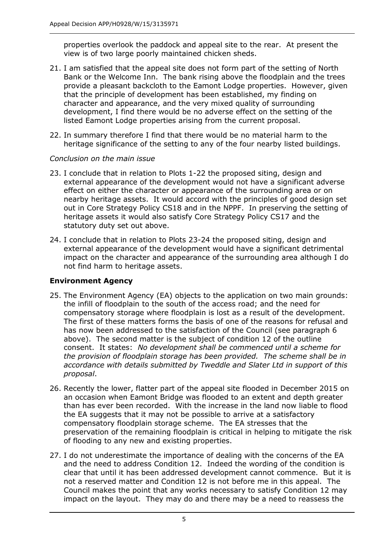properties overlook the paddock and appeal site to the rear. At present the view is of two large poorly maintained chicken sheds.

- 21. I am satisfied that the appeal site does not form part of the setting of North Bank or the Welcome Inn. The bank rising above the floodplain and the trees provide a pleasant backcloth to the Eamont Lodge properties. However, given that the principle of development has been established, my finding on character and appearance, and the very mixed quality of surrounding development, I find there would be no adverse effect on the setting of the listed Eamont Lodge properties arising from the current proposal.
- 22. In summary therefore I find that there would be no material harm to the heritage significance of the setting to any of the four nearby listed buildings.

#### *Conclusion on the main issue*

- 23. I conclude that in relation to Plots 1-22 the proposed siting, design and external appearance of the development would not have a significant adverse effect on either the character or appearance of the surrounding area or on nearby heritage assets. It would accord with the principles of good design set out in Core Strategy Policy CS18 and in the NPPF. In preserving the setting of heritage assets it would also satisfy Core Strategy Policy CS17 and the statutory duty set out above.
- 24. I conclude that in relation to Plots 23-24 the proposed siting, design and external appearance of the development would have a significant detrimental impact on the character and appearance of the surrounding area although I do not find harm to heritage assets.

## **Environment Agency**

- 25. The Environment Agency (EA) objects to the application on two main grounds: the infill of floodplain to the south of the access road; and the need for compensatory storage where floodplain is lost as a result of the development. The first of these matters forms the basis of one of the reasons for refusal and has now been addressed to the satisfaction of the Council (see paragraph 6 above). The second matter is the subject of condition 12 of the outline consent. It states: *No development shall be commenced until a scheme for the provision of floodplain storage has been provided. The scheme shall be in accordance with details submitted by Tweddle and Slater Ltd in support of this proposal*.
- 26. Recently the lower, flatter part of the appeal site flooded in December 2015 on an occasion when Eamont Bridge was flooded to an extent and depth greater than has ever been recorded. With the increase in the land now liable to flood the EA suggests that it may not be possible to arrive at a satisfactory compensatory floodplain storage scheme. The EA stresses that the preservation of the remaining floodplain is critical in helping to mitigate the risk of flooding to any new and existing properties.
- 27. I do not underestimate the importance of dealing with the concerns of the EA and the need to address Condition 12. Indeed the wording of the condition is clear that until it has been addressed development cannot commence. But it is not a reserved matter and Condition 12 is not before me in this appeal. The Council makes the point that any works necessary to satisfy Condition 12 may impact on the layout. They may do and there may be a need to reassess the